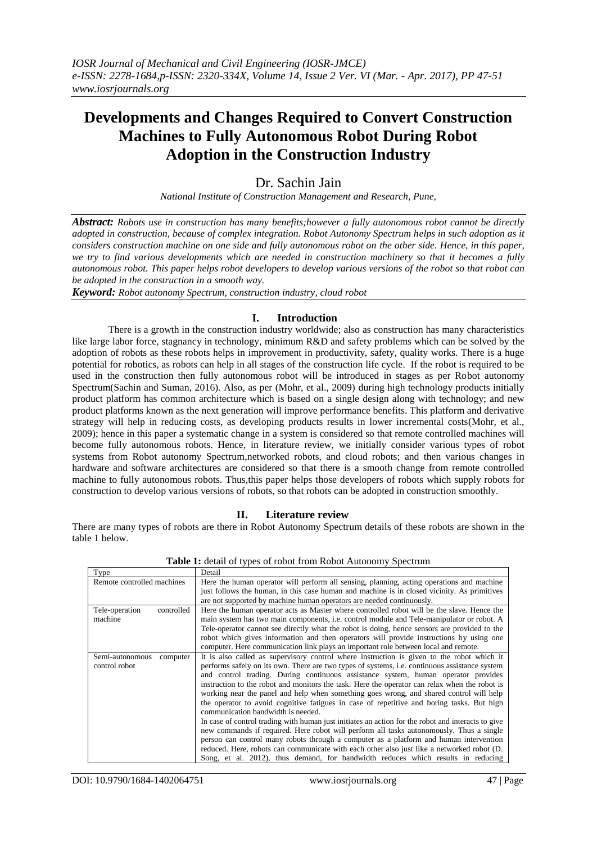# **Developments and Changes Required to Convert Construction Machines to Fully Autonomous Robot During Robot Adoption in the Construction Industry**

## Dr. Sachin Jain

*National Institute of Construction Management and Research, Pune,*

*Abstract: Robots use in construction has many benefits;however a fully autonomous robot cannot be directly adopted in construction, because of complex integration. Robot Autonomy Spectrum helps in such adoption as it considers construction machine on one side and fully autonomous robot on the other side. Hence, in this paper, we try to find various developments which are needed in construction machinery so that it becomes a fully autonomous robot. This paper helps robot developers to develop various versions of the robot so that robot can be adopted in the construction in a smooth way.* 

*Keyword: Robot autonomy Spectrum, construction industry, cloud robot*

## **I. Introduction**

There is a growth in the construction industry worldwide; also as construction has many characteristics like large labor force, stagnancy in technology, minimum R&D and safety problems which can be solved by the adoption of robots as these robots helps in improvement in productivity, safety, quality works. There is a huge potential for robotics, as robots can help in all stages of the construction life cycle. If the robot is required to be used in the construction then fully autonomous robot will be introduced in stages as per Robot autonomy Spectrum(Sachin and Suman, 2016). Also, as per (Mohr, et al., 2009) during high technology products initially product platform has common architecture which is based on a single design along with technology; and new product platforms known as the next generation will improve performance benefits. This platform and derivative strategy will help in reducing costs, as developing products results in lower incremental costs(Mohr, et al., 2009); hence in this paper a systematic change in a system is considered so that remote controlled machines will become fully autonomous robots. Hence, in literature review, we initially consider various types of robot systems from Robot autonomy Spectrum,networked robots, and cloud robots; and then various changes in hardware and software architectures are considered so that there is a smooth change from remote controlled machine to fully autonomous robots. Thus,this paper helps those developers of robots which supply robots for construction to develop various versions of robots, so that robots can be adopted in construction smoothly.

## **II. Literature review**

There are many types of robots are there in Robot Autonomy Spectrum details of these robots are shown in the table 1 below.

| <b>Type</b>                  | Detail                                                                                             |  |  |
|------------------------------|----------------------------------------------------------------------------------------------------|--|--|
| Remote controlled machines   | Here the human operator will perform all sensing, planning, acting operations and machine          |  |  |
|                              | just follows the human, in this case human and machine is in closed vicinity. As primitives        |  |  |
|                              | are not supported by machine human operators are needed continuously.                              |  |  |
| controlled<br>Tele-operation | Here the human operator acts as Master where controlled robot will be the slave. Hence the         |  |  |
| machine                      | main system has two main components, i.e. control module and Tele-manipulator or robot. A          |  |  |
|                              | Tele-operator cannot see directly what the robot is doing, hence sensors are provided to the       |  |  |
|                              | robot which gives information and then operators will provide instructions by using one            |  |  |
|                              | computer. Here communication link plays an important role between local and remote.                |  |  |
| Semi-autonomous<br>computer  | It is also called as supervisory control where instruction is given to the robot which it          |  |  |
| control robot                | performs safely on its own. There are two types of systems, i.e. continuous assistance system      |  |  |
|                              | and control trading. During continuous assistance system, human operator provides                  |  |  |
|                              | instruction to the robot and monitors the task. Here the operator can relax when the robot is      |  |  |
|                              | working near the panel and help when something goes wrong, and shared control will help            |  |  |
|                              | the operator to avoid cognitive fatigues in case of repetitive and boring tasks. But high          |  |  |
|                              | communication bandwidth is needed.                                                                 |  |  |
|                              | In case of control trading with human just initiates an action for the robot and interacts to give |  |  |
|                              | new commands if required. Here robot will perform all tasks autonomously. Thus a single            |  |  |
|                              | person can control many robots through a computer as a platform and human intervention             |  |  |
|                              | reduced. Here, robots can communicate with each other also just like a networked robot (D.         |  |  |
|                              | Song, et al. 2012), thus demand, for bandwidth reduces which results in reducing                   |  |  |

**Table 1:** detail of types of robot from Robot Autonomy Spectrum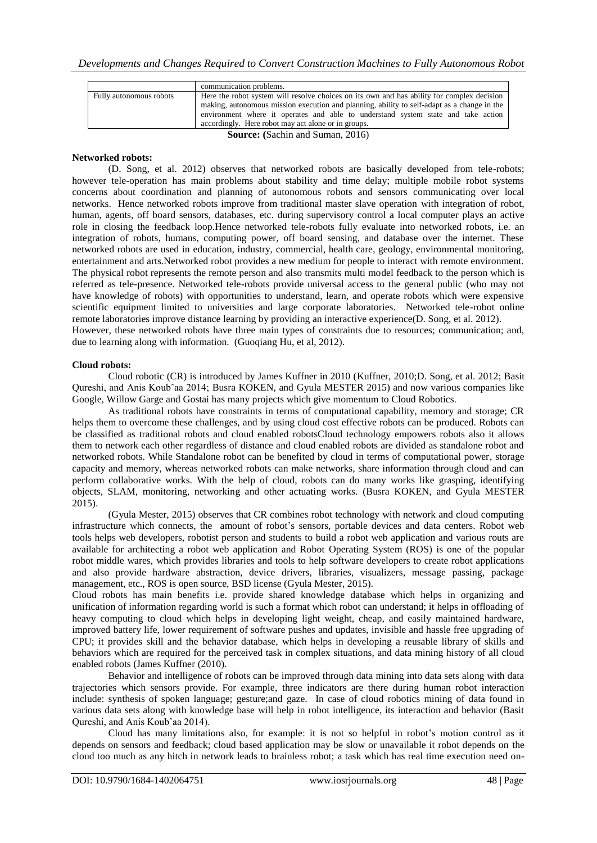|                                         | communication problems.                                                                     |  |  |
|-----------------------------------------|---------------------------------------------------------------------------------------------|--|--|
| Fully autonomous robots                 | Here the robot system will resolve choices on its own and has ability for complex decision  |  |  |
|                                         | making, autonomous mission execution and planning, ability to self-adapt as a change in the |  |  |
|                                         | environment where it operates and able to understand system state and take action           |  |  |
|                                         | accordingly. Here robot may act alone or in groups.                                         |  |  |
| <b>Source:</b> (Sachin and Suman, 2016) |                                                                                             |  |  |

#### **Networked robots:**

(D. Song, et al. 2012) observes that networked robots are basically developed from tele-robots; however tele-operation has main problems about stability and time delay; multiple mobile robot systems concerns about coordination and planning of autonomous robots and sensors communicating over local networks. Hence networked robots improve from traditional master slave operation with integration of robot, human, agents, off board sensors, databases, etc. during supervisory control a local computer plays an active role in closing the feedback loop.Hence networked tele-robots fully evaluate into networked robots, i.e. an integration of robots, humans, computing power, off board sensing, and database over the internet. These networked robots are used in education, industry, commercial, health care, geology, environmental monitoring, entertainment and arts.Networked robot provides a new medium for people to interact with remote environment. The physical robot represents the remote person and also transmits multi model feedback to the person which is referred as tele-presence. Networked tele-robots provide universal access to the general public (who may not have knowledge of robots) with opportunities to understand, learn, and operate robots which were expensive scientific equipment limited to universities and large corporate laboratories. Networked tele-robot online remote laboratories improve distance learning by providing an interactive experience(D. Song, et al. 2012). However, these networked robots have three main types of constraints due to resources; communication; and,

due to learning along with information. (Guoqiang Hu, et al, 2012).

#### **Cloud robots:**

Cloud robotic (CR) is introduced by James Kuffner in 2010 (Kuffner, 2010;D. Song, et al. 2012; Basit Qureshi, and Anis Koubˆaa 2014; Busra KOKEN, and Gyula MESTER 2015) and now various companies like Google, Willow Garge and Gostai has many projects which give momentum to Cloud Robotics.

As traditional robots have constraints in terms of computational capability, memory and storage; CR helps them to overcome these challenges, and by using cloud cost effective robots can be produced. Robots can be classified as traditional robots and cloud enabled robotsCloud technology empowers robots also it allows them to network each other regardless of distance and cloud enabled robots are divided as standalone robot and networked robots. While Standalone robot can be benefited by cloud in terms of computational power, storage capacity and memory, whereas networked robots can make networks, share information through cloud and can perform collaborative works. With the help of cloud, robots can do many works like grasping, identifying objects, SLAM, monitoring, networking and other actuating works. (Busra KOKEN, and Gyula MESTER 2015).

(Gyula Mester, 2015) observes that CR combines robot technology with network and cloud computing infrastructure which connects, the amount of robot's sensors, portable devices and data centers. Robot web tools helps web developers, robotist person and students to build a robot web application and various routs are available for architecting a robot web application and Robot Operating System (ROS) is one of the popular robot middle wares, which provides libraries and tools to help software developers to create robot applications and also provide hardware abstraction, device drivers, libraries, visualizers, message passing, package management, etc., ROS is open source, BSD license (Gyula Mester, 2015).

Cloud robots has main benefits i.e. provide shared knowledge database which helps in organizing and unification of information regarding world is such a format which robot can understand; it helps in offloading of heavy computing to cloud which helps in developing light weight, cheap, and easily maintained hardware, improved battery life, lower requirement of software pushes and updates, invisible and hassle free upgrading of CPU; it provides skill and the behavior database, which helps in developing a reusable library of skills and behaviors which are required for the perceived task in complex situations, and data mining history of all cloud enabled robots (James Kuffner (2010).

Behavior and intelligence of robots can be improved through data mining into data sets along with data trajectories which sensors provide. For example, three indicators are there during human robot interaction include: synthesis of spoken language; gesture;and gaze. In case of cloud robotics mining of data found in various data sets along with knowledge base will help in robot intelligence, its interaction and behavior (Basit Qureshi, and Anis Koubˆaa 2014).

Cloud has many limitations also, for example: it is not so helpful in robot's motion control as it depends on sensors and feedback; cloud based application may be slow or unavailable it robot depends on the cloud too much as any hitch in network leads to brainless robot; a task which has real time execution need on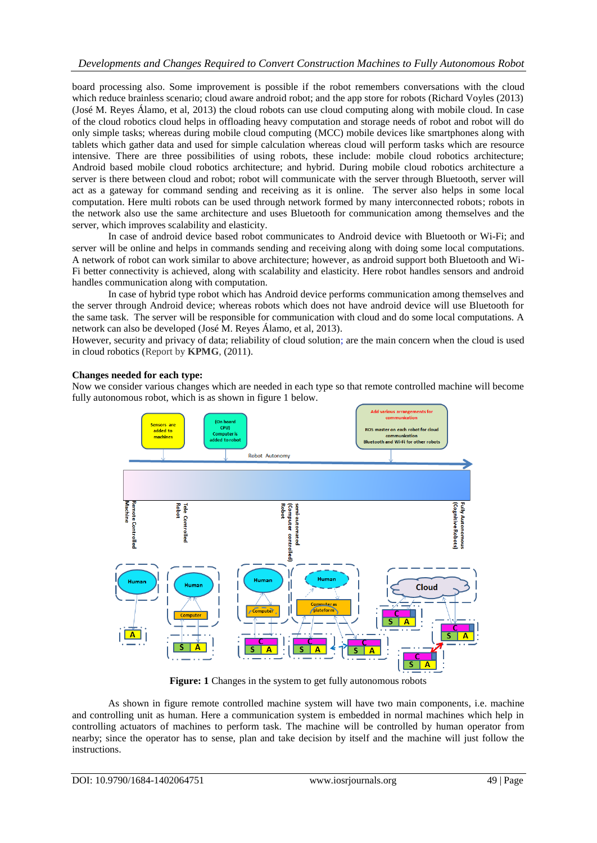board processing also. Some improvement is possible if the robot remembers conversations with the cloud which reduce brainless scenario; cloud aware android robot; and the app store for robots (Richard Voyles (2013) (José M. Reyes Álamo, et al, 2013) the cloud robots can use cloud computing along with mobile cloud. In case of the cloud robotics cloud helps in offloading heavy computation and storage needs of robot and robot will do only simple tasks; whereas during mobile cloud computing (MCC) mobile devices like smartphones along with tablets which gather data and used for simple calculation whereas cloud will perform tasks which are resource intensive. There are three possibilities of using robots, these include: mobile cloud robotics architecture; Android based mobile cloud robotics architecture; and hybrid. During mobile cloud robotics architecture a server is there between cloud and robot; robot will communicate with the server through Bluetooth, server will act as a gateway for command sending and receiving as it is online. The server also helps in some local computation. Here multi robots can be used through network formed by many interconnected robots; robots in the network also use the same architecture and uses Bluetooth for communication among themselves and the server, which improves scalability and elasticity.

In case of android device based robot communicates to Android device with Bluetooth or Wi-Fi; and server will be online and helps in commands sending and receiving along with doing some local computations. A network of robot can work similar to above architecture; however, as android support both Bluetooth and Wi-Fi better connectivity is achieved, along with scalability and elasticity. Here robot handles sensors and android handles communication along with computation.

In case of hybrid type robot which has Android device performs communication among themselves and the server through Android device; whereas robots which does not have android device will use Bluetooth for the same task. The server will be responsible for communication with cloud and do some local computations. A network can also be developed (José M. Reyes Álamo, et al, 2013).

However, security and privacy of data; reliability of cloud solution; are the main concern when the cloud is used in cloud robotics (Report by **KPMG**, (2011).

## **Changes needed for each type:**

Now we consider various changes which are needed in each type so that remote controlled machine will become fully autonomous robot, which is as shown in figure 1 below.



**Figure: 1** Changes in the system to get fully autonomous robots

As shown in figure remote controlled machine system will have two main components, i.e. machine and controlling unit as human. Here a communication system is embedded in normal machines which help in controlling actuators of machines to perform task. The machine will be controlled by human operator from nearby; since the operator has to sense, plan and take decision by itself and the machine will just follow the instructions.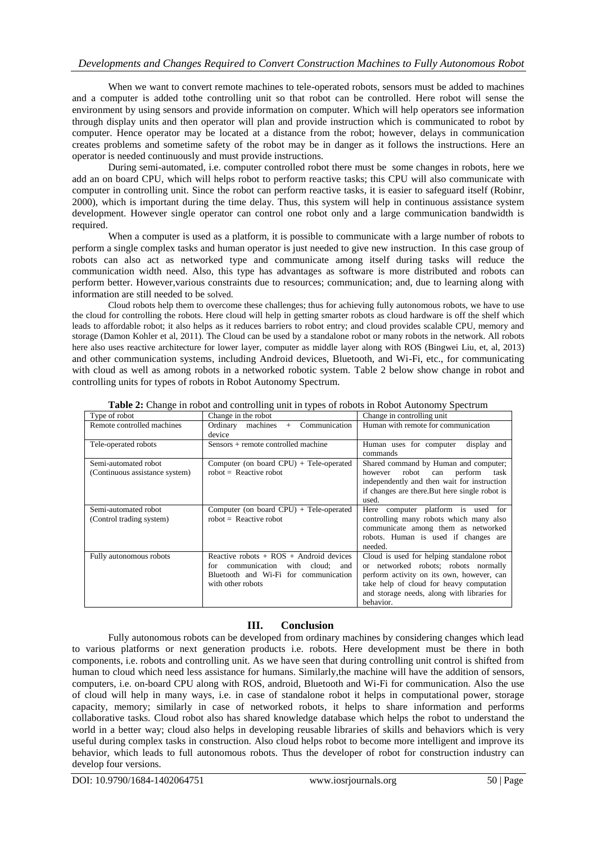## *Developments and Changes Required to Convert Construction Machines to Fully Autonomous Robot*

When we want to convert remote machines to tele-operated robots, sensors must be added to machines and a computer is added tothe controlling unit so that robot can be controlled. Here robot will sense the environment by using sensors and provide information on computer. Which will help operators see information through display units and then operator will plan and provide instruction which is communicated to robot by computer. Hence operator may be located at a distance from the robot; however, delays in communication creates problems and sometime safety of the robot may be in danger as it follows the instructions. Here an operator is needed continuously and must provide instructions.

During semi-automated, i.e. computer controlled robot there must be some changes in robots, here we add an on board CPU, which will helps robot to perform reactive tasks; this CPU will also communicate with computer in controlling unit. Since the robot can perform reactive tasks, it is easier to safeguard itself (Robinr, 2000), which is important during the time delay. Thus, this system will help in continuous assistance system development. However single operator can control one robot only and a large communication bandwidth is required.

When a computer is used as a platform, it is possible to communicate with a large number of robots to perform a single complex tasks and human operator is just needed to give new instruction. In this case group of robots can also act as networked type and communicate among itself during tasks will reduce the communication width need. Also, this type has advantages as software is more distributed and robots can perform better. However,various constraints due to resources; communication; and, due to learning along with information are still needed to be solved.

Cloud robots help them to overcome these challenges; thus for achieving fully autonomous robots, we have to use the cloud for controlling the robots. Here cloud will help in getting smarter robots as cloud hardware is off the shelf which leads to affordable robot; it also helps as it reduces barriers to robot entry; and cloud provides scalable CPU, memory and storage (Damon Kohler et al, 2011). The Cloud can be used by a standalone robot or many robots in the network. All robots here also uses reactive architecture for lower layer, computer as middle layer along with ROS (Bingwei Liu, et, al, 2013) and other communication systems, including Android devices, Bluetooth, and Wi-Fi, etc., for communicating with cloud as well as among robots in a networked robotic system. Table 2 below show change in robot and controlling units for types of robots in Robot Autonomy Spectrum.

| Type of robot                                          | Change in the robot                                                                                                                                     | Change in controlling unit.                                                                                                                                                                                                             |
|--------------------------------------------------------|---------------------------------------------------------------------------------------------------------------------------------------------------------|-----------------------------------------------------------------------------------------------------------------------------------------------------------------------------------------------------------------------------------------|
| Remote controlled machines                             | Communication<br>Ordinary<br>machines<br>$+$<br>device                                                                                                  | Human with remote for communication                                                                                                                                                                                                     |
| Tele-operated robots                                   | Sensors + remote controlled machine                                                                                                                     | Human uses for computer<br>display and<br>commands                                                                                                                                                                                      |
| Semi-automated robot<br>(Continuous assistance system) | Computer (on board CPU) $+$ Tele-operated<br>$robot = Reactive robot$                                                                                   | Shared command by Human and computer;<br>robot can perform<br>however<br>task<br>independently and then wait for instruction<br>if changes are there. But here single robot is<br>used.                                                 |
| Semi-automated robot<br>(Control trading system)       | Computer (on board CPU) $+$ Tele-operated<br>$robot = Reactive robot$                                                                                   | Here computer platform is used for<br>controlling many robots which many also<br>communicate among them as networked<br>robots. Human is used if changes are<br>needed.                                                                 |
| Fully autonomous robots                                | Reactive robots $+$ ROS $+$ Android devices<br>communication<br>with cloud:<br>and<br>for<br>Bluetooth and Wi-Fi for communication<br>with other robots | Cloud is used for helping standalone robot<br>or networked robots; robots normally<br>perform activity on its own, however, can<br>take help of cloud for heavy computation<br>and storage needs, along with libraries for<br>behavior. |

**Table 2:** Change in robot and controlling unit in types of robots in Robot Autonomy Spectrum

## **III. Conclusion**

Fully autonomous robots can be developed from ordinary machines by considering changes which lead to various platforms or next generation products i.e. robots. Here development must be there in both components, i.e. robots and controlling unit. As we have seen that during controlling unit control is shifted from human to cloud which need less assistance for humans. Similarly,the machine will have the addition of sensors, computers, i.e. on-board CPU along with ROS, android, Bluetooth and Wi-Fi for communication. Also the use of cloud will help in many ways, i.e. in case of standalone robot it helps in computational power, storage capacity, memory; similarly in case of networked robots, it helps to share information and performs collaborative tasks. Cloud robot also has shared knowledge database which helps the robot to understand the world in a better way; cloud also helps in developing reusable libraries of skills and behaviors which is very useful during complex tasks in construction. Also cloud helps robot to become more intelligent and improve its behavior, which leads to full autonomous robots. Thus the developer of robot for construction industry can develop four versions.